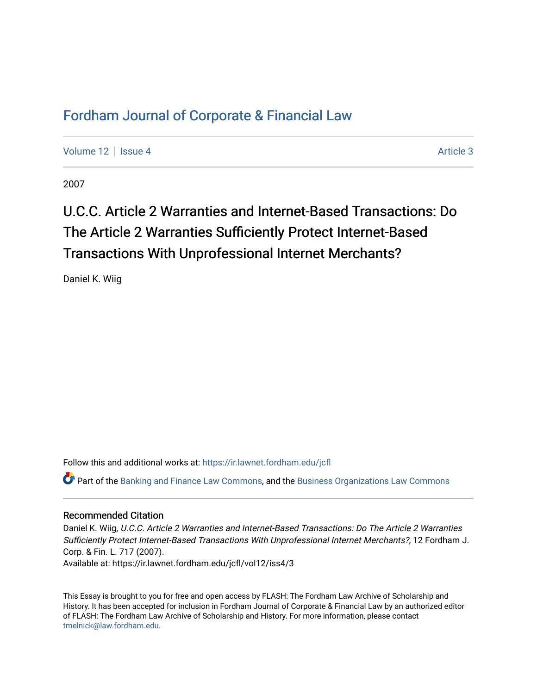# [Fordham Journal of Corporate & Financial Law](https://ir.lawnet.fordham.edu/jcfl)

[Volume 12](https://ir.lawnet.fordham.edu/jcfl/vol12) Setup 4 [Article 3](https://ir.lawnet.fordham.edu/jcfl/vol12/iss4/3) Article 3 Article 3

2007

# U.C.C. Article 2 Warranties and Internet-Based Transactions: Do The Article 2 Warranties Sufficiently Protect Internet-Based Transactions With Unprofessional Internet Merchants?

Daniel K. Wiig

Follow this and additional works at: [https://ir.lawnet.fordham.edu/jcfl](https://ir.lawnet.fordham.edu/jcfl?utm_source=ir.lawnet.fordham.edu%2Fjcfl%2Fvol12%2Fiss4%2F3&utm_medium=PDF&utm_campaign=PDFCoverPages) 

Part of the [Banking and Finance Law Commons,](http://network.bepress.com/hgg/discipline/833?utm_source=ir.lawnet.fordham.edu%2Fjcfl%2Fvol12%2Fiss4%2F3&utm_medium=PDF&utm_campaign=PDFCoverPages) and the [Business Organizations Law Commons](http://network.bepress.com/hgg/discipline/900?utm_source=ir.lawnet.fordham.edu%2Fjcfl%2Fvol12%2Fiss4%2F3&utm_medium=PDF&utm_campaign=PDFCoverPages) 

#### Recommended Citation

Daniel K. Wiig, U.C.C. Article 2 Warranties and Internet-Based Transactions: Do The Article 2 Warranties Sufficiently Protect Internet-Based Transactions With Unprofessional Internet Merchants?, 12 Fordham J. Corp. & Fin. L. 717 (2007). Available at: https://ir.lawnet.fordham.edu/jcfl/vol12/iss4/3

This Essay is brought to you for free and open access by FLASH: The Fordham Law Archive of Scholarship and History. It has been accepted for inclusion in Fordham Journal of Corporate & Financial Law by an authorized editor of FLASH: The Fordham Law Archive of Scholarship and History. For more information, please contact [tmelnick@law.fordham.edu](mailto:tmelnick@law.fordham.edu).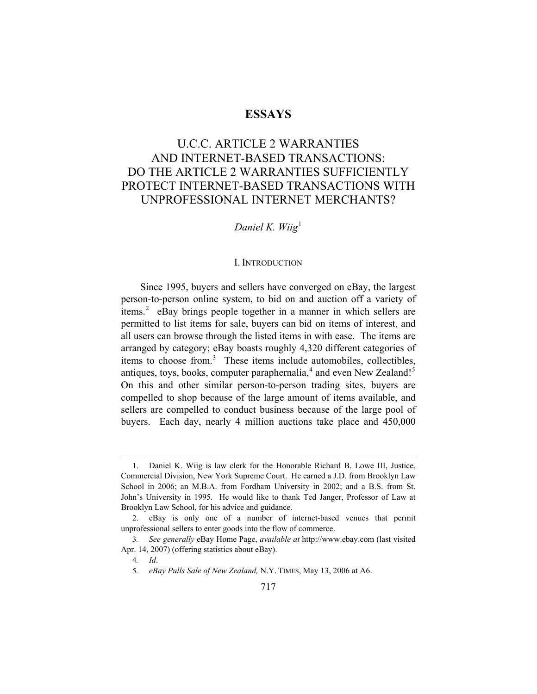## **ESSAYS**

# U.C.C. ARTICLE 2 WARRANTIES AND INTERNET-BASED TRANSACTIONS: DO THE ARTICLE 2 WARRANTIES SUFFICIENTLY PROTECT INTERNET-BASED TRANSACTIONS WITH UNPROFESSIONAL INTERNET MERCHANTS?

# *Daniel K. Wiig*[1](#page-1-0)

#### I. INTRODUCTION

Since 1995, buyers and sellers have converged on eBay, the largest person-to-person online system, to bid on and auction off a variety of items.<sup>[2](#page-1-1)</sup> eBay brings people together in a manner in which sellers are permitted to list items for sale, buyers can bid on items of interest, and all users can browse through the listed items in with ease. The items are arranged by category; eBay boasts roughly 4,320 different categories of items to choose from.<sup>[3](#page-1-2)</sup> These items include automobiles, collectibles, antiques, toys, books, computer paraphernalia, $4$  and even New Zealand!<sup>[5](#page-1-4)</sup> On this and other similar person-to-person trading sites, buyers are compelled to shop because of the large amount of items available, and sellers are compelled to conduct business because of the large pool of buyers. Each day, nearly 4 million auctions take place and 450,000

<span id="page-1-0"></span><sup>1.</sup> Daniel K. Wiig is law clerk for the Honorable Richard B. Lowe III, Justice, Commercial Division, New York Supreme Court. He earned a J.D. from Brooklyn Law School in 2006; an M.B.A. from Fordham University in 2002; and a B.S. from St. John's University in 1995. He would like to thank Ted Janger, Professor of Law at Brooklyn Law School, for his advice and guidance.

<span id="page-1-1"></span><sup>2.</sup> eBay is only one of a number of internet-based venues that permit unprofessional sellers to enter goods into the flow of commerce.

<span id="page-1-4"></span><span id="page-1-3"></span><span id="page-1-2"></span><sup>3</sup>*. See generally* eBay Home Page, *available at* http://www.ebay.com (last visited Apr. 14, 2007) (offering statistics about eBay).

<sup>4</sup>*. Id*.

<sup>5</sup>*. eBay Pulls Sale of New Zealand,* N.Y. TIMES, May 13, 2006 at A6.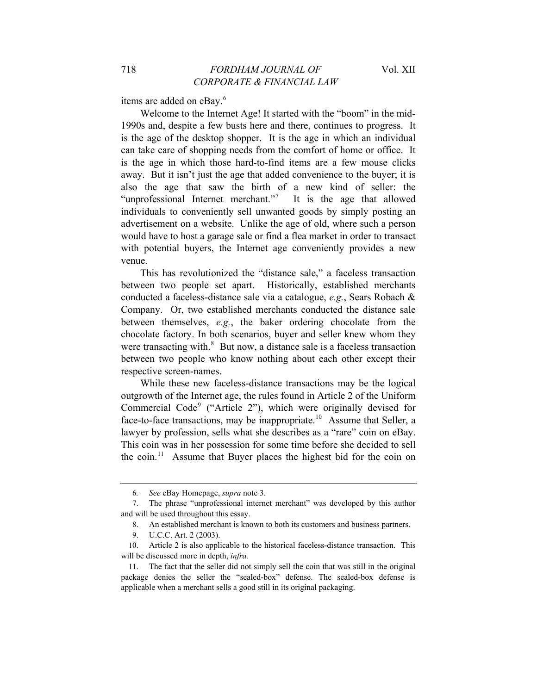items are added on eBay.<sup>[6](#page-2-0)</sup>

Welcome to the Internet Age! It started with the "boom" in the mid-1990s and, despite a few busts here and there, continues to progress. It is the age of the desktop shopper. It is the age in which an individual can take care of shopping needs from the comfort of home or office. It is the age in which those hard-to-find items are a few mouse clicks away. But it isn't just the age that added convenience to the buyer; it is also the age that saw the birth of a new kind of seller: the "unprofessional Internet merchant."<sup>[7](#page-2-1)</sup> It is the age that allowed individuals to conveniently sell unwanted goods by simply posting an advertisement on a website. Unlike the age of old, where such a person would have to host a garage sale or find a flea market in order to transact with potential buyers, the Internet age conveniently provides a new venue.

This has revolutionized the "distance sale," a faceless transaction between two people set apart. Historically, established merchants conducted a faceless-distance sale via a catalogue, *e.g.*, Sears Robach & Company. Or, two established merchants conducted the distance sale between themselves, *e.g.*, the baker ordering chocolate from the chocolate factory. In both scenarios, buyer and seller knew whom they were transacting with. $8\,$  $8\,$  But now, a distance sale is a faceless transaction between two people who know nothing about each other except their respective screen-names.

While these new faceless-distance transactions may be the logical outgrowth of the Internet age, the rules found in Article 2 of the Uniform Commercial Code<sup>[9](#page-2-3)</sup> ("Article 2"), which were originally devised for face-to-face transactions, may be inappropriate.<sup>[10](#page-2-4)</sup> Assume that Seller, a lawyer by profession, sells what she describes as a "rare" coin on eBay. This coin was in her possession for some time before she decided to sell the coin.<sup>[11](#page-2-5)</sup> Assume that Buyer places the highest bid for the coin on

<sup>6</sup>*. See* eBay Homepage, *supra* note 3.

<span id="page-2-2"></span><span id="page-2-1"></span><span id="page-2-0"></span><sup>7.</sup> The phrase "unprofessional internet merchant" was developed by this author and will be used throughout this essay.

<sup>8.</sup> An established merchant is known to both its customers and business partners.

<sup>9.</sup> U.C.C. Art. 2 (2003).

<span id="page-2-4"></span><span id="page-2-3"></span><sup>10.</sup> Article 2 is also applicable to the historical faceless-distance transaction. This will be discussed more in depth, *infra.*

<span id="page-2-5"></span><sup>11.</sup> The fact that the seller did not simply sell the coin that was still in the original package denies the seller the "sealed-box" defense. The sealed-box defense is applicable when a merchant sells a good still in its original packaging.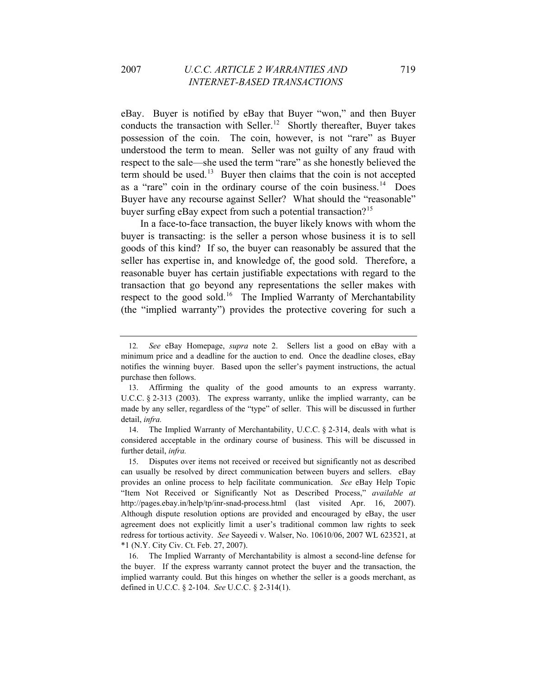eBay. Buyer is notified by eBay that Buyer "won," and then Buyer conducts the transaction with Seller.<sup>[12](#page-3-0)</sup> Shortly thereafter, Buyer takes possession of the coin. The coin, however, is not "rare" as Buyer understood the term to mean. Seller was not guilty of any fraud with respect to the sale—she used the term "rare" as she honestly believed the term should be used.<sup>[13](#page-3-1)</sup> Buyer then claims that the coin is not accepted as a "rare" coin in the ordinary course of the coin business.[14](#page-3-2) Does Buyer have any recourse against Seller? What should the "reasonable" buyer surfing eBay expect from such a potential transaction?<sup>[15](#page-3-3)</sup>

In a face-to-face transaction, the buyer likely knows with whom the buyer is transacting: is the seller a person whose business it is to sell goods of this kind? If so, the buyer can reasonably be assured that the seller has expertise in, and knowledge of, the good sold. Therefore, a reasonable buyer has certain justifiable expectations with regard to the transaction that go beyond any representations the seller makes with respect to the good sold.<sup>[16](#page-3-4)</sup> The Implied Warranty of Merchantability (the "implied warranty") provides the protective covering for such a

<span id="page-3-0"></span><sup>12</sup>*. See* eBay Homepage, *supra* note 2. Sellers list a good on eBay with a minimum price and a deadline for the auction to end. Once the deadline closes, eBay notifies the winning buyer. Based upon the seller's payment instructions, the actual purchase then follows.

<span id="page-3-1"></span><sup>13.</sup> Affirming the quality of the good amounts to an express warranty. U.C.C. § 2-313 (2003). The express warranty, unlike the implied warranty, can be made by any seller, regardless of the "type" of seller. This will be discussed in further detail, *infra.* 

<span id="page-3-2"></span><sup>14.</sup> The Implied Warranty of Merchantability, U.C.C. § 2-314, deals with what is considered acceptable in the ordinary course of business. This will be discussed in further detail, *infra.* 

<span id="page-3-3"></span><sup>15.</sup> Disputes over items not received or received but significantly not as described can usually be resolved by direct communication between buyers and sellers. eBay provides an online process to help facilitate communication. *See* eBay Help Topic "Item Not Received or Significantly Not as Described Process," *available at* http://pages.ebay.in/help/tp/inr-snad-process.html (last visited Apr. 16, 2007). Although dispute resolution options are provided and encouraged by eBay, the user agreement does not explicitly limit a user's traditional common law rights to seek redress for tortious activity. *See* Sayeedi v. Walser, No. 10610/06, 2007 WL 623521, at \*1 (N.Y. City Civ. Ct. Feb. 27, 2007).

<span id="page-3-4"></span><sup>16.</sup> The Implied Warranty of Merchantability is almost a second-line defense for the buyer. If the express warranty cannot protect the buyer and the transaction, the implied warranty could. But this hinges on whether the seller is a goods merchant, as defined in U.C.C. § 2-104. *See* U.C.C. § 2-314(1).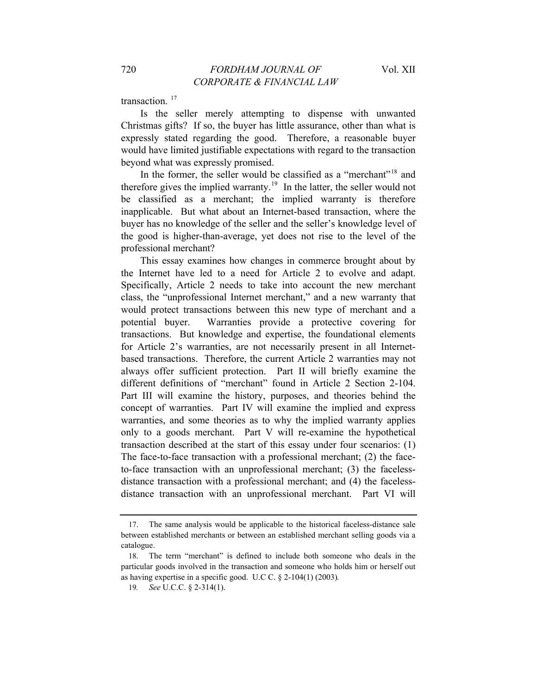transaction.<sup>[17](#page-4-0)</sup>

Is the seller merely attempting to dispense with unwanted Christmas gifts? If so, the buyer has little assurance, other than what is expressly stated regarding the good. Therefore, a reasonable buyer would have limited justifiable expectations with regard to the transaction beyond what was expressly promised.

In the former, the seller would be classified as a "merchant"<sup>[18](#page-4-1)</sup> and therefore gives the implied warranty.<sup>[19](#page-4-2)</sup> In the latter, the seller would not be classified as a merchant; the implied warranty is therefore inapplicable. But what about an Internet-based transaction, where the buyer has no knowledge of the seller and the seller's knowledge level of the good is higher-than-average, yet does not rise to the level of the professional merchant?

This essay examines how changes in commerce brought about by the Internet have led to a need for Article 2 to evolve and adapt. Specifically, Article 2 needs to take into account the new merchant class, the "unprofessional Internet merchant," and a new warranty that would protect transactions between this new type of merchant and a potential buyer. Warranties provide a protective covering for transactions. But knowledge and expertise, the foundational elements for Article 2's warranties, are not necessarily present in all Internetbased transactions. Therefore, the current Article 2 warranties may not always offer sufficient protection. Part II will briefly examine the different definitions of "merchant" found in Article 2 Section 2-104. Part III will examine the history, purposes, and theories behind the concept of warranties. Part IV will examine the implied and express warranties, and some theories as to why the implied warranty applies only to a goods merchant. Part V will re-examine the hypothetical transaction described at the start of this essay under four scenarios: (1) The face-to-face transaction with a professional merchant; (2) the faceto-face transaction with an unprofessional merchant; (3) the facelessdistance transaction with a professional merchant; and (4) the facelessdistance transaction with an unprofessional merchant. Part VI will

<span id="page-4-0"></span><sup>17.</sup> The same analysis would be applicable to the historical faceless-distance sale between established merchants or between an established merchant selling goods via a catalogue.

<span id="page-4-2"></span><span id="page-4-1"></span><sup>18.</sup> The term "merchant" is defined to include both someone who deals in the particular goods involved in the transaction and someone who holds him or herself out as having expertise in a specific good. U.C C. § 2-104(1) (2003)*.*

<sup>19</sup>*. See* U.C.C. § 2-314(1).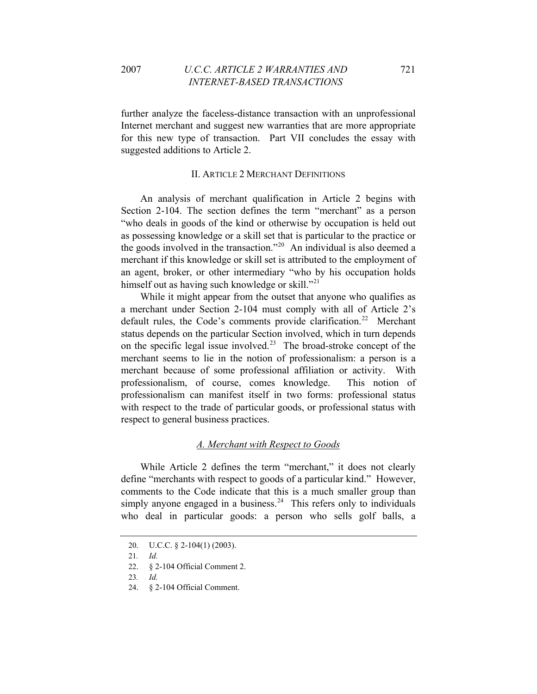further analyze the faceless-distance transaction with an unprofessional Internet merchant and suggest new warranties that are more appropriate for this new type of transaction. Part VII concludes the essay with suggested additions to Article 2.

#### II. ARTICLE 2 MERCHANT DEFINITIONS

An analysis of merchant qualification in Article 2 begins with Section 2-104. The section defines the term "merchant" as a person "who deals in goods of the kind or otherwise by occupation is held out as possessing knowledge or a skill set that is particular to the practice or the goods involved in the transaction."[20](#page-5-0) An individual is also deemed a merchant if this knowledge or skill set is attributed to the employment of an agent, broker, or other intermediary "who by his occupation holds himself out as having such knowledge or skill."<sup>[21](#page-5-1)</sup>

While it might appear from the outset that anyone who qualifies as a merchant under Section 2-104 must comply with all of Article 2's default rules, the Code's comments provide clarification.<sup>[22](#page-5-2)</sup> Merchant status depends on the particular Section involved, which in turn depends on the specific legal issue involved.<sup>[23](#page-5-3)</sup> The broad-stroke concept of the merchant seems to lie in the notion of professionalism: a person is a merchant because of some professional affiliation or activity. With professionalism, of course, comes knowledge. This notion of professionalism can manifest itself in two forms: professional status with respect to the trade of particular goods, or professional status with respect to general business practices.

## *A. Merchant with Respect to Goods*

While Article 2 defines the term "merchant," it does not clearly define "merchants with respect to goods of a particular kind." However, comments to the Code indicate that this is a much smaller group than simply anyone engaged in a business.<sup>[24](#page-5-4)</sup> This refers only to individuals who deal in particular goods: a person who sells golf balls, a

<span id="page-5-0"></span><sup>20.</sup> U.C.C. § 2-104(1) (2003).

<span id="page-5-1"></span><sup>21</sup>*. Id.*

<span id="page-5-3"></span><span id="page-5-2"></span><sup>22. § 2-104</sup> Official Comment 2.

<sup>23</sup>*. Id.*

<span id="page-5-4"></span><sup>24. § 2-104</sup> Official Comment.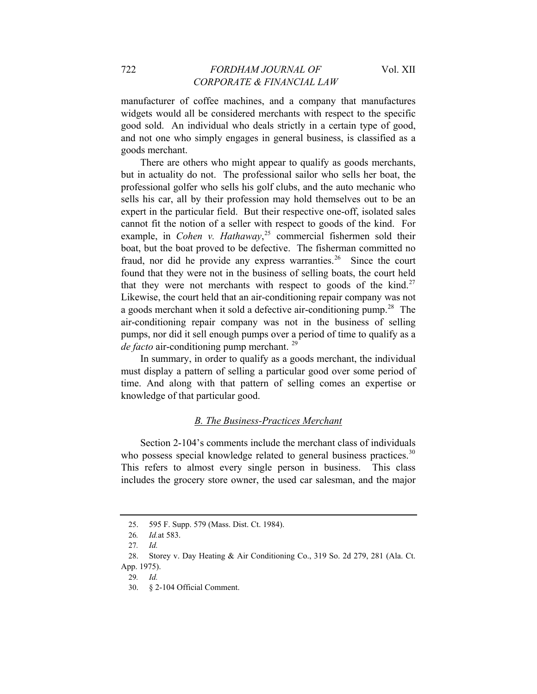### 722 *FORDHAM JOURNAL OF* Vol. XII *CORPORATE & FINANCIAL LAW*

manufacturer of coffee machines, and a company that manufactures widgets would all be considered merchants with respect to the specific good sold. An individual who deals strictly in a certain type of good, and not one who simply engages in general business, is classified as a goods merchant.

There are others who might appear to qualify as goods merchants, but in actuality do not. The professional sailor who sells her boat, the professional golfer who sells his golf clubs, and the auto mechanic who sells his car, all by their profession may hold themselves out to be an expert in the particular field. But their respective one-off, isolated sales cannot fit the notion of a seller with respect to goods of the kind. For example, in *Cohen v. Hathaway*,<sup>[25](#page-6-0)</sup> commercial fishermen sold their boat, but the boat proved to be defective. The fisherman committed no fraud, nor did he provide any express warranties.<sup>[26](#page-6-1)</sup> Since the court found that they were not in the business of selling boats, the court held that they were not merchants with respect to goods of the kind.<sup>[27](#page-6-2)</sup> Likewise, the court held that an air-conditioning repair company was not a goods merchant when it sold a defective air-conditioning pump.<sup>[28](#page-6-3)</sup> The air-conditioning repair company was not in the business of selling pumps, nor did it sell enough pumps over a period of time to qualify as a *de facto* air-conditioning pump merchant.<sup>[29](#page-6-4)</sup>

In summary, in order to qualify as a goods merchant, the individual must display a pattern of selling a particular good over some period of time. And along with that pattern of selling comes an expertise or knowledge of that particular good.

#### *B. The Business-Practices Merchant*

Section 2-104's comments include the merchant class of individuals who possess special knowledge related to general business practices.<sup>[30](#page-6-5)</sup> This refers to almost every single person in business. This class includes the grocery store owner, the used car salesman, and the major

<sup>25. 595</sup> F. Supp. 579 (Mass. Dist. Ct. 1984).

<sup>26</sup>*. Id.*at 583.

<sup>27</sup>*. Id.*

<span id="page-6-5"></span><span id="page-6-4"></span><span id="page-6-3"></span><span id="page-6-2"></span><span id="page-6-1"></span><span id="page-6-0"></span><sup>28.</sup> Storey v. Day Heating & Air Conditioning Co., 319 So. 2d 279, 281 (Ala. Ct. App. 1975).

<sup>29</sup>*. Id.*

<sup>30. § 2-104</sup> Official Comment.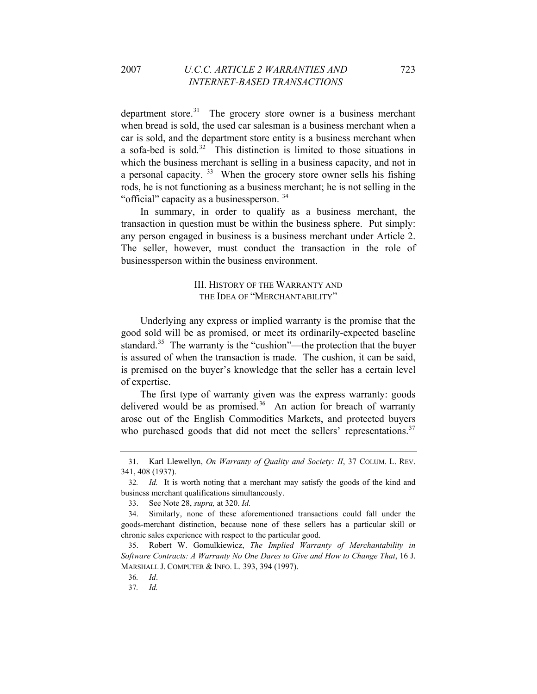department store. $31$  The grocery store owner is a business merchant when bread is sold, the used car salesman is a business merchant when a car is sold, and the department store entity is a business merchant when a sofa-bed is sold. $32$  This distinction is limited to those situations in which the business merchant is selling in a business capacity, and not in a personal capacity.  $33$  When the grocery store owner sells his fishing rods, he is not functioning as a business merchant; he is not selling in the "official" capacity as a businessperson.<sup>[34](#page-7-3)</sup>

In summary, in order to qualify as a business merchant, the transaction in question must be within the business sphere. Put simply: any person engaged in business is a business merchant under Article 2. The seller, however, must conduct the transaction in the role of businessperson within the business environment.

### III. HISTORY OF THE WARRANTY AND THE IDEA OF "MERCHANTABILITY"

Underlying any express or implied warranty is the promise that the good sold will be as promised, or meet its ordinarily-expected baseline standard.<sup>[35](#page-7-4)</sup> The warranty is the "cushion"—the protection that the buyer is assured of when the transaction is made. The cushion, it can be said, is premised on the buyer's knowledge that the seller has a certain level of expertise.

The first type of warranty given was the express warranty: goods delivered would be as promised.<sup>[36](#page-7-5)</sup> An action for breach of warranty arose out of the English Commodities Markets, and protected buyers who purchased goods that did not meet the sellers' representations.<sup>[37](#page-7-6)</sup>

<span id="page-7-0"></span><sup>31.</sup> Karl Llewellyn, *On Warranty of Quality and Society: II*, 37 COLUM. L. REV. 341, 408 (1937).

<span id="page-7-1"></span><sup>32</sup>*. Id.* It is worth noting that a merchant may satisfy the goods of the kind and business merchant qualifications simultaneously.

<sup>33.</sup> See Note 28, *supra,* at 320. *Id.*

<span id="page-7-3"></span><span id="page-7-2"></span><sup>34.</sup> Similarly, none of these aforementioned transactions could fall under the goods-merchant distinction, because none of these sellers has a particular skill or chronic sales experience with respect to the particular good.

<span id="page-7-6"></span><span id="page-7-5"></span><span id="page-7-4"></span><sup>35.</sup> Robert W. Gomulkiewicz, *The Implied Warranty of Merchantability in Software Contracts: A Warranty No One Dares to Give and How to Change That*, 16 J. MARSHALL J. COMPUTER & INFO. L. 393, 394 (1997).

<sup>36</sup>*. Id*.

<sup>37</sup>*. Id.*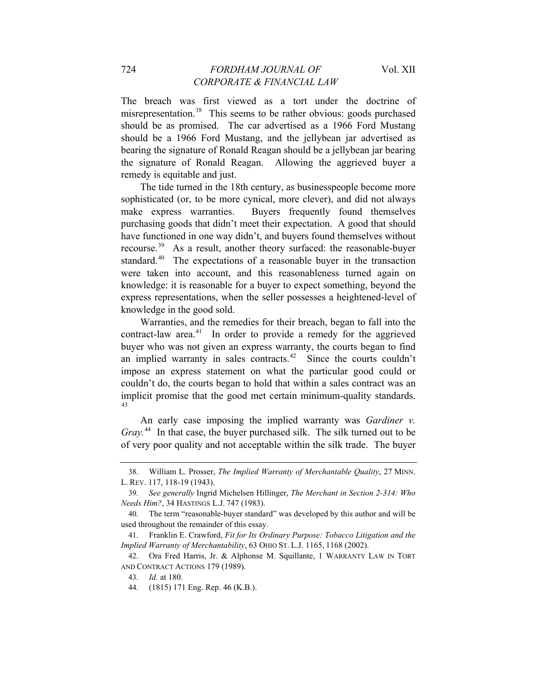The breach was first viewed as a tort under the doctrine of misrepresentation.<sup>[38](#page-8-0)</sup> This seems to be rather obvious: goods purchased should be as promised. The car advertised as a 1966 Ford Mustang should be a 1966 Ford Mustang, and the jellybean jar advertised as bearing the signature of Ronald Reagan should be a jellybean jar bearing the signature of Ronald Reagan. Allowing the aggrieved buyer a remedy is equitable and just.

The tide turned in the 18th century, as businesspeople become more sophisticated (or, to be more cynical, more clever), and did not always make express warranties. Buyers frequently found themselves purchasing goods that didn't meet their expectation. A good that should have functioned in one way didn't, and buyers found themselves without recourse.[39](#page-8-1) As a result, another theory surfaced: the reasonable-buyer standard.<sup>[40](#page-8-2)</sup> The expectations of a reasonable buyer in the transaction were taken into account, and this reasonableness turned again on knowledge: it is reasonable for a buyer to expect something, beyond the express representations, when the seller possesses a heightened-level of knowledge in the good sold.

Warranties, and the remedies for their breach, began to fall into the contract-law area. $41$  In order to provide a remedy for the aggrieved buyer who was not given an express warranty, the courts began to find an implied warranty in sales contracts.<sup>[42](#page-8-4)</sup> Since the courts couldn't impose an express statement on what the particular good could or couldn't do, the courts began to hold that within a sales contract was an implicit promise that the good met certain minimum-quality standards. [43](#page-8-5)

An early case imposing the implied warranty was *Gardiner v. Gray.*[44](#page-8-6) In that case, the buyer purchased silk. The silk turned out to be of very poor quality and not acceptable within the silk trade. The buyer

<span id="page-8-0"></span><sup>38.</sup> William L. Prosser, *The Implied Warranty of Merchantable Quality*, 27 MINN. L. REV. 117, 118-19 (1943).

<span id="page-8-1"></span><sup>39</sup>*. See generally* Ingrid Michelsen Hillinger, *The Merchant in Section 2-314: Who Needs Him?*, 34 HASTINGS L.J. 747 (1983).

<span id="page-8-2"></span><sup>40.</sup> The term "reasonable-buyer standard" was developed by this author and will be used throughout the remainder of this essay.

<span id="page-8-3"></span><sup>41.</sup> Franklin E. Crawford, *Fit for Its Ordinary Purpose: Tobacco Litigation and the Implied Warranty of Merchantability*, 63 OHIO ST. L.J. 1165, 1168 (2002).

<span id="page-8-6"></span><span id="page-8-5"></span><span id="page-8-4"></span><sup>42.</sup> Ora Fred Harris, Jr. & Alphonse M. Squillante, 1 WARRANTY LAW IN TORT AND CONTRACT ACTIONS 179 (1989).

<sup>43</sup>*. Id.* at 180.

<sup>44. (1815) 171</sup> Eng. Rep. 46 (K.B.).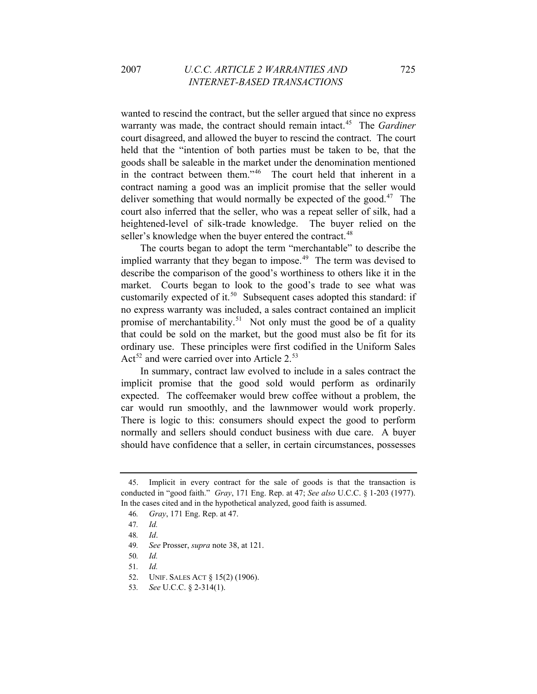wanted to rescind the contract, but the seller argued that since no express warranty was made, the contract should remain intact.<sup>[45](#page-9-0)</sup> The *Gardiner* court disagreed, and allowed the buyer to rescind the contract. The court held that the "intention of both parties must be taken to be, that the goods shall be saleable in the market under the denomination mentioned in the contract between them."[46](#page-9-1) The court held that inherent in a contract naming a good was an implicit promise that the seller would deliver something that would normally be expected of the good.<sup>[47](#page-9-2)</sup> The court also inferred that the seller, who was a repeat seller of silk, had a heightened-level of silk-trade knowledge. The buyer relied on the seller's knowledge when the buyer entered the contract.<sup>[48](#page-9-3)</sup>

The courts began to adopt the term "merchantable" to describe the implied warranty that they began to impose.<sup>[49](#page-9-4)</sup> The term was devised to describe the comparison of the good's worthiness to others like it in the market. Courts began to look to the good's trade to see what was customarily expected of it. $50$  Subsequent cases adopted this standard: if no express warranty was included, a sales contract contained an implicit promise of merchantability.<sup>[51](#page-9-6)</sup> Not only must the good be of a quality that could be sold on the market, but the good must also be fit for its ordinary use. These principles were first codified in the Uniform Sales Act<sup>[52](#page-9-7)</sup> and were carried over into Article  $2^{53}$  $2^{53}$  $2^{53}$ 

In summary, contract law evolved to include in a sales contract the implicit promise that the good sold would perform as ordinarily expected. The coffeemaker would brew coffee without a problem, the car would run smoothly, and the lawnmower would work properly. There is logic to this: consumers should expect the good to perform normally and sellers should conduct business with due care. A buyer should have confidence that a seller, in certain circumstances, possesses

<span id="page-9-1"></span><span id="page-9-0"></span><sup>45.</sup> Implicit in every contract for the sale of goods is that the transaction is conducted in "good faith." *Gray*, 171 Eng. Rep. at 47; *See also* U.C.C. § 1-203 (1977). In the cases cited and in the hypothetical analyzed, good faith is assumed.

<sup>46</sup>*. Gray*, 171 Eng. Rep. at 47.

<span id="page-9-2"></span><sup>47</sup>*. Id.*

<span id="page-9-4"></span><span id="page-9-3"></span><sup>48</sup>*. Id*.

<sup>49</sup>*. See* Prosser, *supra* note 38, at 121.

<span id="page-9-6"></span><span id="page-9-5"></span><sup>50</sup>*. Id.*

<span id="page-9-7"></span><sup>51</sup>*. Id.*

<sup>52.</sup> UNIF. SALES ACT § 15(2) (1906).

<span id="page-9-8"></span><sup>53</sup>*. See* U.C.C. § 2-314(1).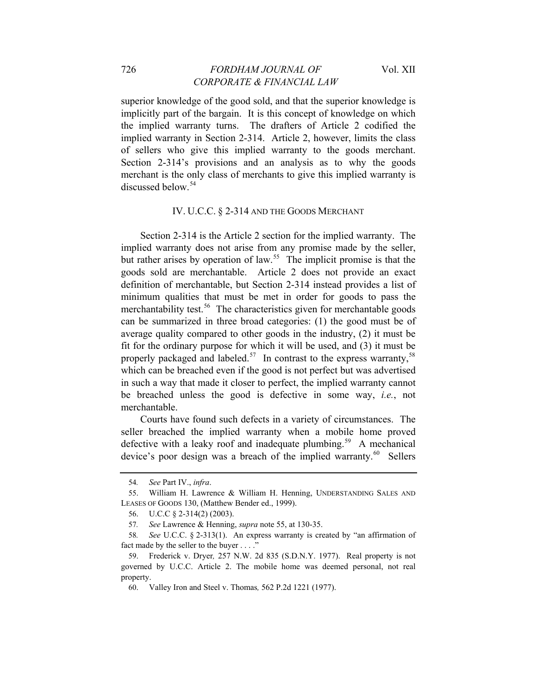#### 726 *FORDHAM JOURNAL OF* Vol. XII *CORPORATE & FINANCIAL LAW*

superior knowledge of the good sold, and that the superior knowledge is implicitly part of the bargain. It is this concept of knowledge on which the implied warranty turns. The drafters of Article 2 codified the implied warranty in Section 2-314. Article 2, however, limits the class of sellers who give this implied warranty to the goods merchant. Section 2-314's provisions and an analysis as to why the goods merchant is the only class of merchants to give this implied warranty is discussed below.[54](#page-10-0)

#### IV. U.C.C. § 2-314 AND THE GOODS MERCHANT

Section 2-314 is the Article 2 section for the implied warranty. The implied warranty does not arise from any promise made by the seller, but rather arises by operation of law.<sup>[55](#page-10-1)</sup> The implicit promise is that the goods sold are merchantable. Article 2 does not provide an exact definition of merchantable, but Section 2-314 instead provides a list of minimum qualities that must be met in order for goods to pass the merchantability test.<sup>[56](#page-10-2)</sup> The characteristics given for merchantable goods can be summarized in three broad categories: (1) the good must be of average quality compared to other goods in the industry, (2) it must be fit for the ordinary purpose for which it will be used, and (3) it must be properly packaged and labeled.<sup>[57](#page-10-3)</sup> In contrast to the express warranty,<sup>58</sup> which can be breached even if the good is not perfect but was advertised in such a way that made it closer to perfect, the implied warranty cannot be breached unless the good is defective in some way, *i.e.*, not merchantable.

Courts have found such defects in a variety of circumstances. The seller breached the implied warranty when a mobile home proved defective with a leaky roof and inadequate plumbing.<sup>[59](#page-10-5)</sup> A mechanical device's poor design was a breach of the implied warranty. $60$  Sellers

<sup>54</sup>*. See* Part IV., *infra*.

<span id="page-10-2"></span><span id="page-10-1"></span><span id="page-10-0"></span><sup>55.</sup> William H. Lawrence & William H. Henning, UNDERSTANDING SALES AND LEASES OF GOODS 130, (Matthew Bender ed., 1999).

<sup>56.</sup> U.C.C § 2-314(2) (2003).

<sup>57</sup>*. See* Lawrence & Henning, *supra* note 55, at 130-35.

<span id="page-10-4"></span><span id="page-10-3"></span><sup>58</sup>*. See* U.C.C. § 2-313(1). An express warranty is created by "an affirmation of fact made by the seller to the buyer . . . ."

<span id="page-10-6"></span><span id="page-10-5"></span><sup>59.</sup> Frederick v. Dryer*,* 257 N.W. 2d 835 (S.D.N.Y. 1977). Real property is not governed by U.C.C. Article 2. The mobile home was deemed personal, not real property.

<sup>60.</sup> Valley Iron and Steel v. Thomas*,* 562 P.2d 1221 (1977).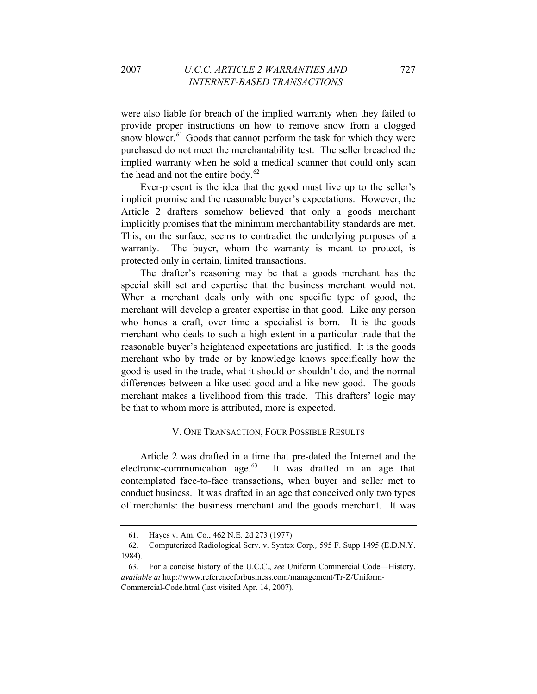were also liable for breach of the implied warranty when they failed to provide proper instructions on how to remove snow from a clogged snow blower.<sup>[61](#page-11-0)</sup> Goods that cannot perform the task for which they were purchased do not meet the merchantability test. The seller breached the implied warranty when he sold a medical scanner that could only scan the head and not the entire body.<sup>[62](#page-11-1)</sup>

Ever-present is the idea that the good must live up to the seller's implicit promise and the reasonable buyer's expectations. However, the Article 2 drafters somehow believed that only a goods merchant implicitly promises that the minimum merchantability standards are met. This, on the surface, seems to contradict the underlying purposes of a warranty. The buyer, whom the warranty is meant to protect, is protected only in certain, limited transactions.

The drafter's reasoning may be that a goods merchant has the special skill set and expertise that the business merchant would not. When a merchant deals only with one specific type of good, the merchant will develop a greater expertise in that good. Like any person who hones a craft, over time a specialist is born. It is the goods merchant who deals to such a high extent in a particular trade that the reasonable buyer's heightened expectations are justified. It is the goods merchant who by trade or by knowledge knows specifically how the good is used in the trade, what it should or shouldn't do, and the normal differences between a like-used good and a like-new good. The goods merchant makes a livelihood from this trade. This drafters' logic may be that to whom more is attributed, more is expected.

#### V. ONE TRANSACTION, FOUR POSSIBLE RESULTS

Article 2 was drafted in a time that pre-dated the Internet and the electronic-communication age. $63$  It was drafted in an age that contemplated face-to-face transactions, when buyer and seller met to conduct business. It was drafted in an age that conceived only two types of merchants: the business merchant and the goods merchant. It was

<sup>61.</sup> Hayes v. Am. Co., 462 N.E. 2d 273 (1977).

<span id="page-11-1"></span><span id="page-11-0"></span><sup>62.</sup> Computerized Radiological Serv. v. Syntex Corp*.,* 595 F. Supp 1495 (E.D.N.Y. 1984).

<span id="page-11-2"></span><sup>63.</sup> For a concise history of the U.C.C., *see* Uniform Commercial Code—History, *available at* http://www.referenceforbusiness.com/management/Tr-Z/Uniform-Commercial-Code.html (last visited Apr. 14, 2007).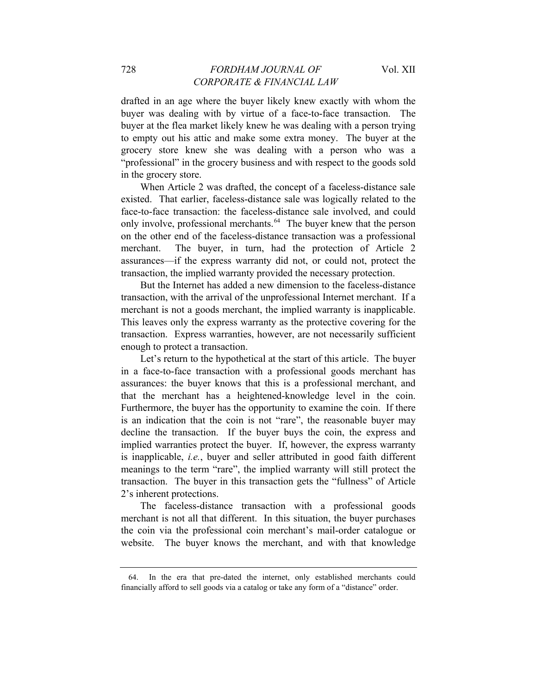drafted in an age where the buyer likely knew exactly with whom the buyer was dealing with by virtue of a face-to-face transaction. The buyer at the flea market likely knew he was dealing with a person trying to empty out his attic and make some extra money. The buyer at the grocery store knew she was dealing with a person who was a "professional" in the grocery business and with respect to the goods sold in the grocery store.

When Article 2 was drafted, the concept of a faceless-distance sale existed. That earlier, faceless-distance sale was logically related to the face-to-face transaction: the faceless-distance sale involved, and could only involve, professional merchants.<sup>[64](#page-12-0)</sup> The buyer knew that the person on the other end of the faceless-distance transaction was a professional merchant. The buyer, in turn, had the protection of Article 2 assurances—if the express warranty did not, or could not, protect the transaction, the implied warranty provided the necessary protection.

But the Internet has added a new dimension to the faceless-distance transaction, with the arrival of the unprofessional Internet merchant. If a merchant is not a goods merchant, the implied warranty is inapplicable. This leaves only the express warranty as the protective covering for the transaction. Express warranties, however, are not necessarily sufficient enough to protect a transaction.

Let's return to the hypothetical at the start of this article. The buyer in a face-to-face transaction with a professional goods merchant has assurances: the buyer knows that this is a professional merchant, and that the merchant has a heightened-knowledge level in the coin. Furthermore, the buyer has the opportunity to examine the coin. If there is an indication that the coin is not "rare", the reasonable buyer may decline the transaction. If the buyer buys the coin, the express and implied warranties protect the buyer. If, however, the express warranty is inapplicable, *i.e.*, buyer and seller attributed in good faith different meanings to the term "rare", the implied warranty will still protect the transaction. The buyer in this transaction gets the "fullness" of Article 2's inherent protections.

The faceless-distance transaction with a professional goods merchant is not all that different. In this situation, the buyer purchases the coin via the professional coin merchant's mail-order catalogue or website. The buyer knows the merchant, and with that knowledge

<span id="page-12-0"></span><sup>64.</sup> In the era that pre-dated the internet, only established merchants could financially afford to sell goods via a catalog or take any form of a "distance" order.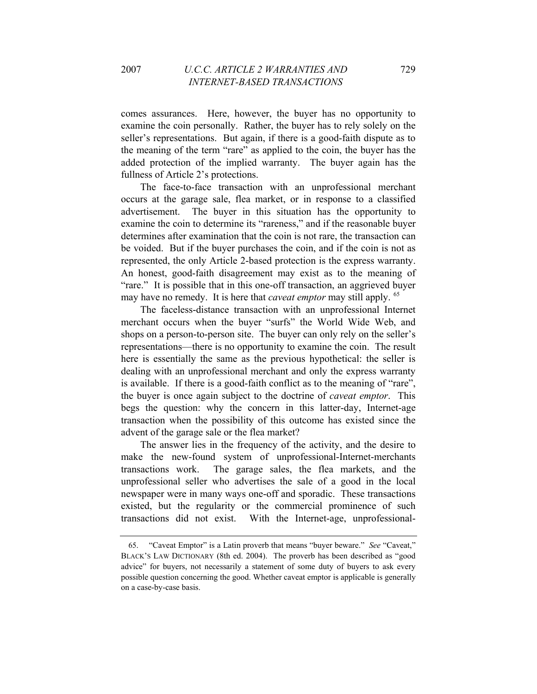comes assurances. Here, however, the buyer has no opportunity to examine the coin personally. Rather, the buyer has to rely solely on the seller's representations. But again, if there is a good-faith dispute as to the meaning of the term "rare" as applied to the coin, the buyer has the added protection of the implied warranty. The buyer again has the fullness of Article 2's protections.

The face-to-face transaction with an unprofessional merchant occurs at the garage sale, flea market, or in response to a classified advertisement. The buyer in this situation has the opportunity to examine the coin to determine its "rareness," and if the reasonable buyer determines after examination that the coin is not rare, the transaction can be voided. But if the buyer purchases the coin, and if the coin is not as represented, the only Article 2-based protection is the express warranty. An honest, good-faith disagreement may exist as to the meaning of "rare." It is possible that in this one-off transaction, an aggrieved buyer may have no remedy. It is here that *caveat emptor* may still apply. <sup>[65](#page-13-0)</sup>

The faceless-distance transaction with an unprofessional Internet merchant occurs when the buyer "surfs" the World Wide Web, and shops on a person-to-person site. The buyer can only rely on the seller's representations—there is no opportunity to examine the coin. The result here is essentially the same as the previous hypothetical: the seller is dealing with an unprofessional merchant and only the express warranty is available. If there is a good-faith conflict as to the meaning of "rare", the buyer is once again subject to the doctrine of *caveat emptor*. This begs the question: why the concern in this latter-day, Internet-age transaction when the possibility of this outcome has existed since the advent of the garage sale or the flea market?

The answer lies in the frequency of the activity, and the desire to make the new-found system of unprofessional-Internet-merchants transactions work. The garage sales, the flea markets, and the unprofessional seller who advertises the sale of a good in the local newspaper were in many ways one-off and sporadic. These transactions existed, but the regularity or the commercial prominence of such transactions did not exist. With the Internet-age, unprofessional-

<span id="page-13-0"></span><sup>65. &</sup>quot;Caveat Emptor" is a Latin proverb that means "buyer beware." *See* "Caveat," BLACK'S LAW DICTIONARY (8th ed. 2004). The proverb has been described as "good advice" for buyers, not necessarily a statement of some duty of buyers to ask every possible question concerning the good. Whether caveat emptor is applicable is generally on a case-by-case basis.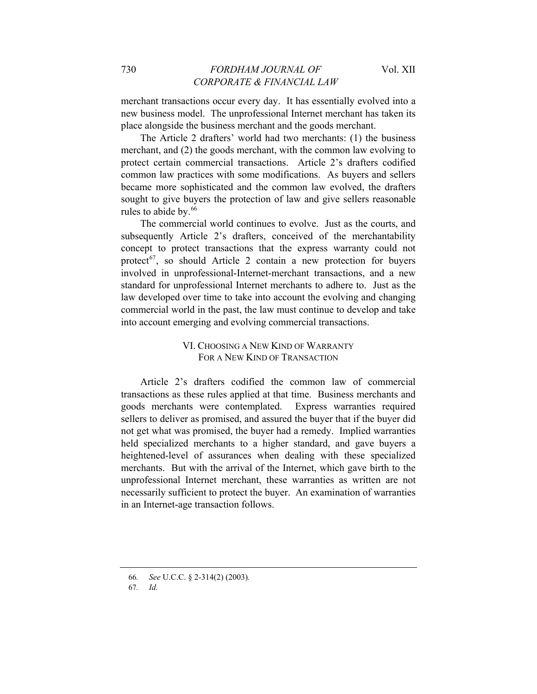merchant transactions occur every day. It has essentially evolved into a new business model. The unprofessional Internet merchant has taken its place alongside the business merchant and the goods merchant.

The Article 2 drafters' world had two merchants: (1) the business merchant, and (2) the goods merchant, with the common law evolving to protect certain commercial transactions. Article 2's drafters codified common law practices with some modifications. As buyers and sellers became more sophisticated and the common law evolved, the drafters sought to give buyers the protection of law and give sellers reasonable rules to abide by.<sup>[66](#page-14-0)</sup>

The commercial world continues to evolve. Just as the courts, and subsequently Article 2's drafters, conceived of the merchantability concept to protect transactions that the express warranty could not protect<sup>[67](#page-14-1)</sup>, so should Article 2 contain a new protection for buyers involved in unprofessional-Internet-merchant transactions, and a new standard for unprofessional Internet merchants to adhere to. Just as the law developed over time to take into account the evolving and changing commercial world in the past, the law must continue to develop and take into account emerging and evolving commercial transactions.

#### VI. CHOOSING A NEW KIND OF WARRANTY FOR A NEW KIND OF TRANSACTION

Article 2's drafters codified the common law of commercial transactions as these rules applied at that time. Business merchants and goods merchants were contemplated. Express warranties required sellers to deliver as promised, and assured the buyer that if the buyer did not get what was promised, the buyer had a remedy. Implied warranties held specialized merchants to a higher standard, and gave buyers a heightened-level of assurances when dealing with these specialized merchants. But with the arrival of the Internet, which gave birth to the unprofessional Internet merchant, these warranties as written are not necessarily sufficient to protect the buyer. An examination of warranties in an Internet-age transaction follows.

<span id="page-14-0"></span><sup>66</sup>*. See* U.C.C. § 2-314(2) (2003)*.* 

<span id="page-14-1"></span><sup>67</sup>*. Id.*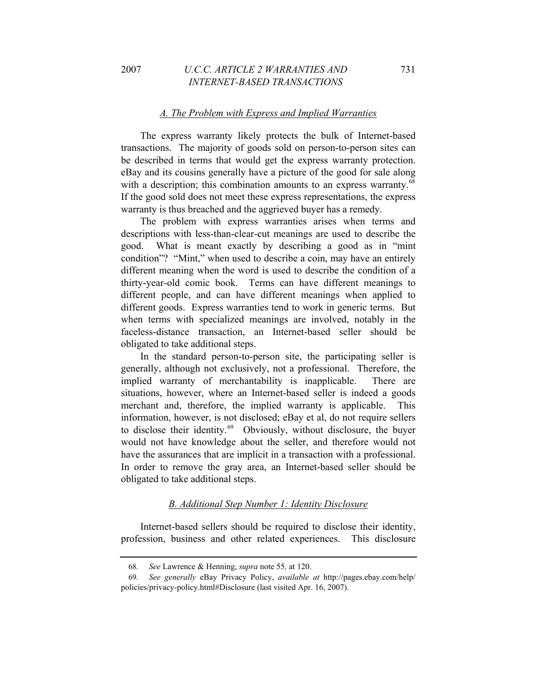#### *A. The Problem with Express and Implied Warranties*

The express warranty likely protects the bulk of Internet-based transactions. The majority of goods sold on person-to-person sites can be described in terms that would get the express warranty protection. eBay and its cousins generally have a picture of the good for sale along with a description; this combination amounts to an express warranty.<sup>[68](#page-15-0)</sup> If the good sold does not meet these express representations, the express warranty is thus breached and the aggrieved buyer has a remedy.

The problem with express warranties arises when terms and descriptions with less-than-clear-cut meanings are used to describe the good. What is meant exactly by describing a good as in "mint condition"? "Mint," when used to describe a coin, may have an entirely different meaning when the word is used to describe the condition of a thirty-year-old comic book. Terms can have different meanings to different people, and can have different meanings when applied to different goods. Express warranties tend to work in generic terms. But when terms with specialized meanings are involved, notably in the faceless-distance transaction, an Internet-based seller should be obligated to take additional steps.

In the standard person-to-person site, the participating seller is generally, although not exclusively, not a professional. Therefore, the implied warranty of merchantability is inapplicable. There are situations, however, where an Internet-based seller is indeed a goods merchant and, therefore, the implied warranty is applicable. This information, however, is not disclosed; eBay et al, do not require sellers to disclose their identity.<sup>[69](#page-15-1)</sup> Obviously, without disclosure, the buyer would not have knowledge about the seller, and therefore would not have the assurances that are implicit in a transaction with a professional. In order to remove the gray area, an Internet-based seller should be obligated to take additional steps.

#### *B. Additional Step Number 1: Identity Disclosure*

Internet-based sellers should be required to disclose their identity, profession, business and other related experiences. This disclosure

<sup>68</sup>*. See* Lawrence & Henning, *supra* note 55*,* at 120.

<span id="page-15-1"></span><span id="page-15-0"></span><sup>69</sup>*. See generally* eBay Privacy Policy, *available at* http://pages.ebay.com/help/ policies/privacy-policy.html#Disclosure (last visited Apr. 16, 2007).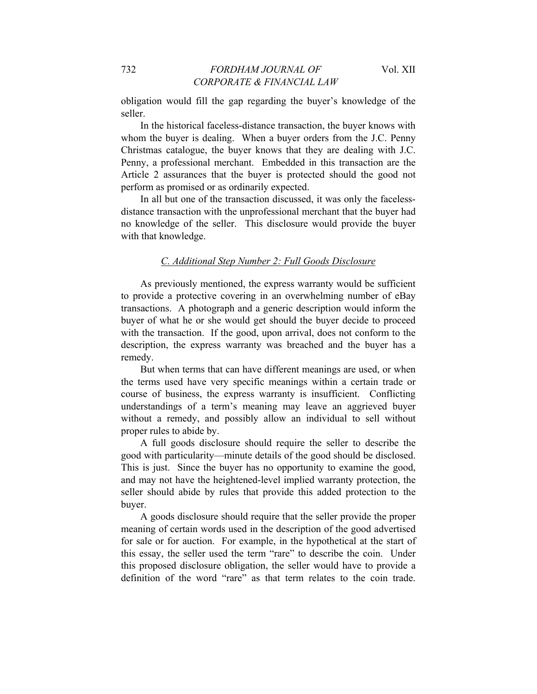obligation would fill the gap regarding the buyer's knowledge of the seller.

In the historical faceless-distance transaction, the buyer knows with whom the buyer is dealing. When a buyer orders from the J.C. Penny Christmas catalogue, the buyer knows that they are dealing with J.C. Penny, a professional merchant. Embedded in this transaction are the Article 2 assurances that the buyer is protected should the good not perform as promised or as ordinarily expected.

In all but one of the transaction discussed, it was only the facelessdistance transaction with the unprofessional merchant that the buyer had no knowledge of the seller. This disclosure would provide the buyer with that knowledge.

# *C. Additional Step Number 2: Full Goods Disclosure*

As previously mentioned, the express warranty would be sufficient to provide a protective covering in an overwhelming number of eBay transactions. A photograph and a generic description would inform the buyer of what he or she would get should the buyer decide to proceed with the transaction. If the good, upon arrival, does not conform to the description, the express warranty was breached and the buyer has a remedy.

But when terms that can have different meanings are used, or when the terms used have very specific meanings within a certain trade or course of business, the express warranty is insufficient. Conflicting understandings of a term's meaning may leave an aggrieved buyer without a remedy, and possibly allow an individual to sell without proper rules to abide by.

A full goods disclosure should require the seller to describe the good with particularity—minute details of the good should be disclosed. This is just. Since the buyer has no opportunity to examine the good, and may not have the heightened-level implied warranty protection, the seller should abide by rules that provide this added protection to the buyer.

A goods disclosure should require that the seller provide the proper meaning of certain words used in the description of the good advertised for sale or for auction. For example, in the hypothetical at the start of this essay, the seller used the term "rare" to describe the coin. Under this proposed disclosure obligation, the seller would have to provide a definition of the word "rare" as that term relates to the coin trade.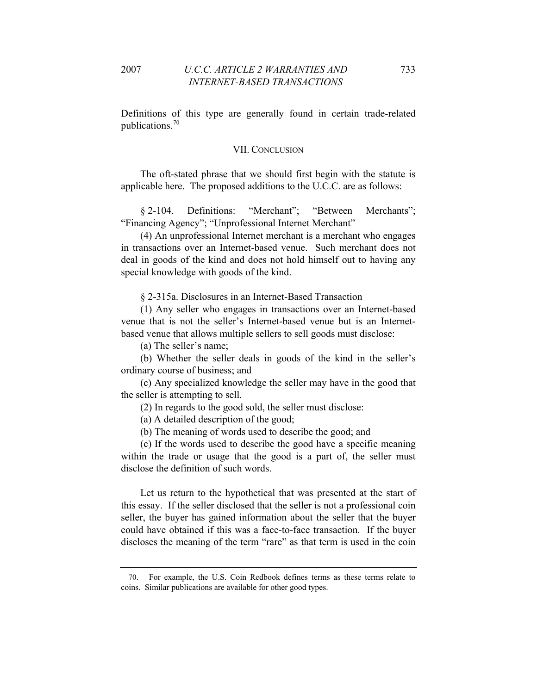Definitions of this type are generally found in certain trade-related publications.[70](#page-17-0)

#### VII. CONCLUSION

The oft-stated phrase that we should first begin with the statute is applicable here. The proposed additions to the U.C.C. are as follows:

§ 2-104. Definitions: "Merchant"; "Between Merchants"; "Financing Agency"; "Unprofessional Internet Merchant"

(4) An unprofessional Internet merchant is a merchant who engages in transactions over an Internet-based venue. Such merchant does not deal in goods of the kind and does not hold himself out to having any special knowledge with goods of the kind.

§ 2-315a. Disclosures in an Internet-Based Transaction

(1) Any seller who engages in transactions over an Internet-based venue that is not the seller's Internet-based venue but is an Internetbased venue that allows multiple sellers to sell goods must disclose:

(a) The seller's name;

(b) Whether the seller deals in goods of the kind in the seller's ordinary course of business; and

(c) Any specialized knowledge the seller may have in the good that the seller is attempting to sell.

(2) In regards to the good sold, the seller must disclose:

(a) A detailed description of the good;

(b) The meaning of words used to describe the good; and

(c) If the words used to describe the good have a specific meaning within the trade or usage that the good is a part of, the seller must disclose the definition of such words.

Let us return to the hypothetical that was presented at the start of this essay. If the seller disclosed that the seller is not a professional coin seller, the buyer has gained information about the seller that the buyer could have obtained if this was a face-to-face transaction. If the buyer discloses the meaning of the term "rare" as that term is used in the coin

<span id="page-17-0"></span><sup>70.</sup> For example, the U.S. Coin Redbook defines terms as these terms relate to coins. Similar publications are available for other good types.